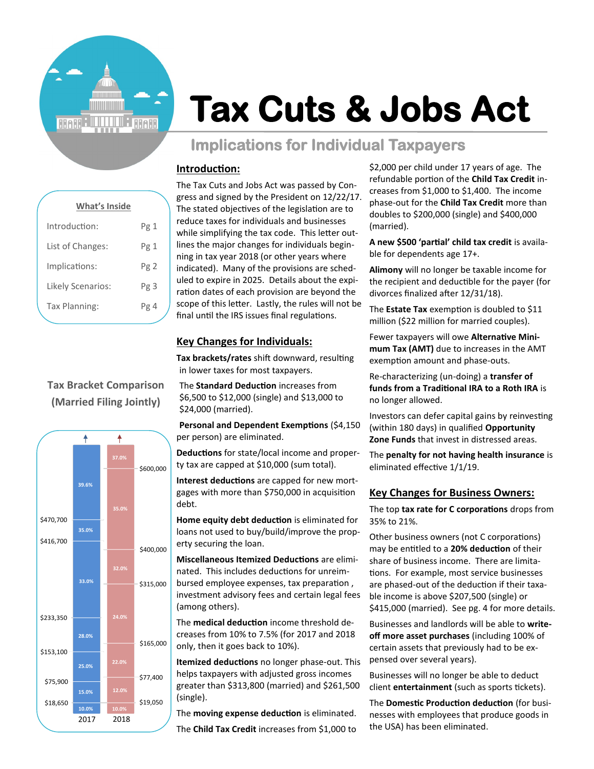

# **Tax Cuts & Jobs Act**

# **Implications for Individual Taxpayers**

### **Introduction:**

| <b>What's Inside</b>     |      |
|--------------------------|------|
| Introduction:            | Pg 1 |
| List of Changes:         | Pg1  |
| Implications:            | Pg2  |
| <b>Likely Scenarios:</b> | Pg 3 |
| Tax Planning:            | Pg 4 |
|                          |      |

## **Tax Bracket Comparison (Married Filing Jointly)**



The Tax Cuts and Jobs Act was passed by Congress and signed by the President on 12/22/17. The stated objectives of the legislation are to reduce taxes for individuals and businesses while simplifying the tax code. This letter outlines the major changes for individuals beginning in tax year 2018 (or other years where indicated). Many of the provisions are scheduled to expire in 2025. Details about the expiration dates of each provision are beyond the scope of this letter. Lastly, the rules will not be final until the IRS issues final regulations.

## **Key Changes for Individuals:**

**Tax brackets/rates** shift downward, resulting in lower taxes for most taxpayers.

The **Standard Deduction** increases from \$6,500 to \$12,000 (single) and \$13,000 to \$24,000 (married).

**Personal and Dependent Exemptions** (\$4,150 per person) are eliminated.

**Deductions** for state/local income and property tax are capped at \$10,000 (sum total).

**Interest deductions** are capped for new mortgages with more than \$750,000 in acquisition debt.

**Home equity debt deduction** is eliminated for loans not used to buy/build/improve the property securing the loan.

**Miscellaneous Itemized Deductions** are eliminated. This includes deductions for unreimbursed employee expenses, tax preparation , investment advisory fees and certain legal fees (among others).

The **medical deduction** income threshold decreases from 10% to 7.5% (for 2017 and 2018 only, then it goes back to 10%).

**Itemized deductions** no longer phase-out. This helps taxpayers with adjusted gross incomes greater than \$313,800 (married) and \$261,500 (single).

The **moving expense deduction** is eliminated. The **Child Tax Credit** increases from \$1,000 to \$2,000 per child under 17 years of age. The refundable portion of the **Child Tax Credit** increases from \$1,000 to \$1,400. The income phase-out for the **Child Tax Credit** more than doubles to \$200,000 (single) and \$400,000 (married).

**A new \$500 'partial' child tax credit** is available for dependents age 17+.

**Alimony** will no longer be taxable income for the recipient and deductible for the payer (for divorces finalized after 12/31/18).

The **Estate Tax** exemption is doubled to \$11 million (\$22 million for married couples).

Fewer taxpayers will owe **Alternative Minimum Tax (AMT)** due to increases in the AMT exemption amount and phase-outs.

Re-characterizing (un-doing) a **transfer of funds from a Traditional IRA to a Roth IRA** is no longer allowed.

Investors can defer capital gains by reinvesting (within 180 days) in qualified **Opportunity Zone Funds** that invest in distressed areas.

The **penalty for not having health insurance** is eliminated effective 1/1/19.

#### **Key Changes for Business Owners:**

The top **tax rate for C corporations** drops from 35% to 21%.

Other business owners (not C corporations) may be entitled to a **20% deduction** of their share of business income. There are limitations. For example, most service businesses are phased-out of the deduction if their taxable income is above \$207,500 (single) or \$415,000 (married). See pg. 4 for more details.

Businesses and landlords will be able to **writeoff more asset purchases** (including 100% of certain assets that previously had to be expensed over several years).

Businesses will no longer be able to deduct client **entertainment** (such as sports tickets).

The **Domestic Production deduction** (for businesses with employees that produce goods in the USA) has been eliminated.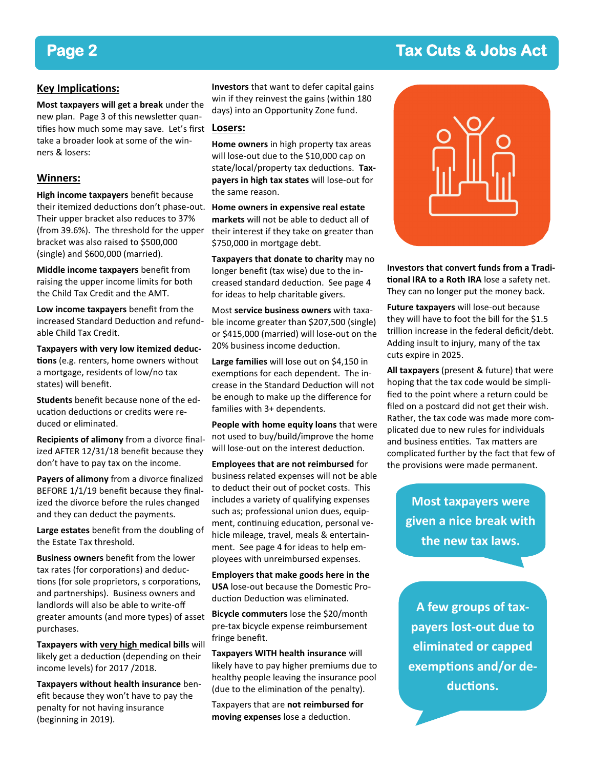# **Page 2 Tax Cuts & Jobs Act**

#### **Key Implications:**

**Most taxpayers will get a break** under the new plan. Page 3 of this newsletter quantifies how much some may save. Let's first take a broader look at some of the winners & losers:

#### **Winners:**

**High income taxpayers** benefit because their itemized deductions don't phase-out. Their upper bracket also reduces to 37% (from 39.6%). The threshold for the upper bracket was also raised to \$500,000 (single) and \$600,000 (married).

**Middle income taxpayers** benefit from raising the upper income limits for both the Child Tax Credit and the AMT.

**Low income taxpayers** benefit from the increased Standard Deduction and refundable Child Tax Credit.

**Taxpayers with very low itemized deductions** (e.g. renters, home owners without a mortgage, residents of low/no tax states) will benefit.

**Students** benefit because none of the education deductions or credits were reduced or eliminated.

**Recipients of alimony** from a divorce finalized AFTER 12/31/18 benefit because they don't have to pay tax on the income.

**Payers of alimony** from a divorce finalized BEFORE 1/1/19 benefit because they finalized the divorce before the rules changed and they can deduct the payments.

**Large estates** benefit from the doubling of the Estate Tax threshold.

**Business owners** benefit from the lower tax rates (for corporations) and deductions (for sole proprietors, s corporations, and partnerships). Business owners and landlords will also be able to write-off greater amounts (and more types) of asset purchases.

**Taxpayers with very high medical bills** will likely get a deduction (depending on their income levels) for 2017 /2018.

**Taxpayers without health insurance** benefit because they won't have to pay the penalty for not having insurance (beginning in 2019).

**Investors** that want to defer capital gains win if they reinvest the gains (within 180 days) into an Opportunity Zone fund.

#### **Losers:**

**Home owners** in high property tax areas will lose-out due to the \$10,000 cap on state/local/property tax deductions. **Taxpayers in high tax states** will lose-out for the same reason.

**Home owners in expensive real estate markets** will not be able to deduct all of their interest if they take on greater than \$750,000 in mortgage debt.

**Taxpayers that donate to charity** may no longer benefit (tax wise) due to the increased standard deduction. See page 4 for ideas to help charitable givers.

Most **service business owners** with taxable income greater than \$207,500 (single) or \$415,000 (married) will lose-out on the 20% business income deduction.

**Large families** will lose out on \$4,150 in exemptions for each dependent. The increase in the Standard Deduction will not be enough to make up the difference for families with 3+ dependents.

**People with home equity loans** that were not used to buy/build/improve the home will lose-out on the interest deduction.

**Employees that are not reimbursed** for business related expenses will not be able to deduct their out of pocket costs. This includes a variety of qualifying expenses such as; professional union dues, equipment, continuing education, personal vehicle mileage, travel, meals & entertainment. See page 4 for ideas to help employees with unreimbursed expenses.

**Employers that make goods here in the USA** lose-out because the Domestic Production Deduction was eliminated.

**Bicycle commuters** lose the \$20/month pre-tax bicycle expense reimbursement fringe benefit.

**Taxpayers WITH health insurance** will likely have to pay higher premiums due to healthy people leaving the insurance pool (due to the elimination of the penalty).

Taxpayers that are **not reimbursed for moving expenses** lose a deduction.



**Investors that convert funds from a Traditional IRA to a Roth IRA** lose a safety net. They can no longer put the money back.

**Future taxpayers** will lose-out because they will have to foot the bill for the \$1.5 trillion increase in the federal deficit/debt. Adding insult to injury, many of the tax cuts expire in 2025.

**All taxpayers** (present & future) that were hoping that the tax code would be simplified to the point where a return could be filed on a postcard did not get their wish. Rather, the tax code was made more complicated due to new rules for individuals and business entities. Tax matters are complicated further by the fact that few of the provisions were made permanent.

> **Most taxpayers were given a nice break with the new tax laws.**

**A few groups of taxpayers lost-out due to eliminated or capped exemptions and/or deductions.**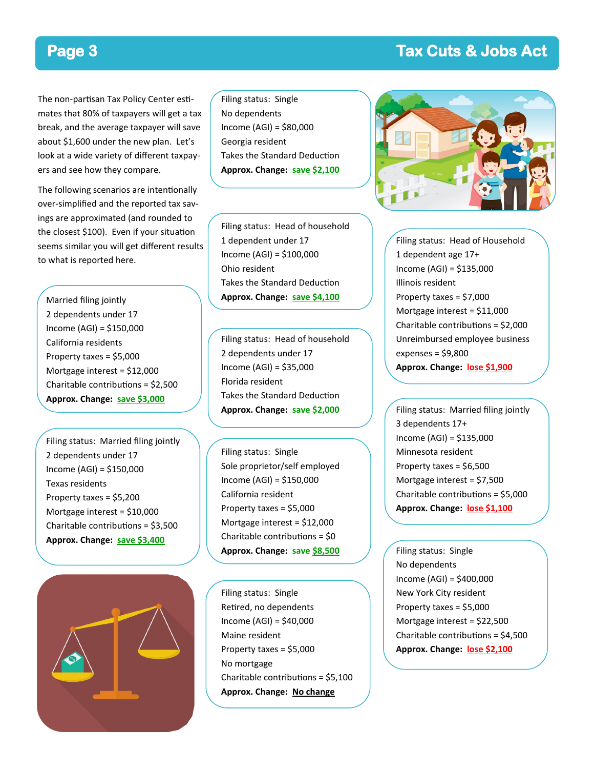## **Page 3 Tax Cuts & Jobs Act**

The non-partisan Tax Policy Center estimates that 80% of taxpayers will get a tax break, and the average taxpayer will save about \$1,600 under the new plan. Let's look at a wide variety of different taxpayers and see how they compare.

The following scenarios are intentionally over-simplified and the reported tax savings are approximated (and rounded to the closest \$100). Even if your situation seems similar you will get different results to what is reported here.

Married filing jointly 2 dependents under 17 Income (AGI) = \$150,000 California residents Property taxes = \$5,000 Mortgage interest = \$12,000 Charitable contributions = \$2,500 **Approx. Change: save \$3,000**

Filing status: Married filing jointly 2 dependents under 17 Income (AGI) = \$150,000 Texas residents Property taxes = \$5,200 Mortgage interest = \$10,000 Charitable contributions = \$3,500 **Approx. Change: save \$3,400**



Filing status: Single No dependents Income (AGI) = \$80,000 Georgia resident Takes the Standard Deduction **Approx. Change: save \$2,100**

Filing status: Head of household 1 dependent under 17 Income (AGI) = \$100,000 Ohio resident Takes the Standard Deduction **Approx. Change: save \$4,100**

Filing status: Head of household 2 dependents under 17 Income (AGI) = \$35,000 Florida resident Takes the Standard Deduction **Approx. Change: save \$2,000**

Filing status: Single Sole proprietor/self employed Income (AGI) = \$150,000 California resident Property taxes = \$5,000 Mortgage interest = \$12,000 Charitable contributions = \$0 **Approx. Change: save \$8,500**

Filing status: Single Retired, no dependents Income (AGI) = \$40,000 Maine resident Property taxes = \$5,000 No mortgage Charitable contributions = \$5,100 **Approx. Change: No change**



Filing status: Head of Household 1 dependent age 17+ Income (AGI) = \$135,000 Illinois resident Property taxes = \$7,000 Mortgage interest = \$11,000 Charitable contributions = \$2,000 Unreimbursed employee business expenses = \$9,800 **Approx. Change: lose \$1,900**

Filing status: Married filing jointly 3 dependents 17+ Income (AGI) = \$135,000 Minnesota resident Property taxes = \$6,500 Mortgage interest = \$7,500 Charitable contributions = \$5,000 **Approx. Change: lose \$1,100**

Filing status: Single No dependents Income (AGI) = \$400,000 New York City resident Property taxes = \$5,000 Mortgage interest = \$22,500 Charitable contributions = \$4,500 **Approx. Change: lose \$2,100**